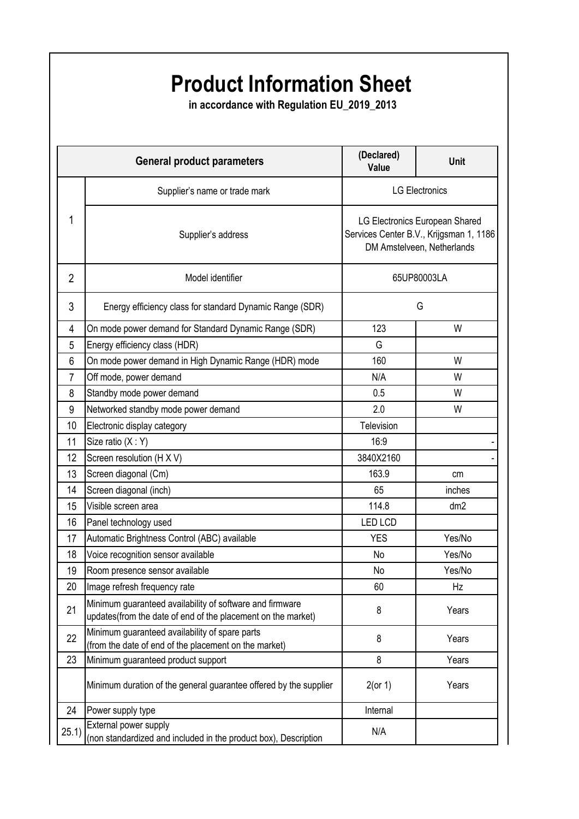## **Product Information Sheet**

 **in accordance with Regulation EU\_2019\_2013**

| <b>General product parameters</b> |                                                                                                                          | (Declared)<br>Value                                                                                     | Unit            |
|-----------------------------------|--------------------------------------------------------------------------------------------------------------------------|---------------------------------------------------------------------------------------------------------|-----------------|
|                                   | Supplier's name or trade mark                                                                                            | <b>LG Electronics</b>                                                                                   |                 |
| 1                                 | Supplier's address                                                                                                       | LG Electronics European Shared<br>Services Center B.V., Krijgsman 1, 1186<br>DM Amstelveen, Netherlands |                 |
| $\overline{2}$                    | Model identifier                                                                                                         | 65UP80003LA                                                                                             |                 |
| 3                                 | Energy efficiency class for standard Dynamic Range (SDR)                                                                 | G                                                                                                       |                 |
| 4                                 | On mode power demand for Standard Dynamic Range (SDR)                                                                    | 123                                                                                                     | W               |
| 5                                 | Energy efficiency class (HDR)                                                                                            | G                                                                                                       |                 |
| 6                                 | On mode power demand in High Dynamic Range (HDR) mode                                                                    | 160                                                                                                     | W               |
| $\overline{7}$                    | Off mode, power demand                                                                                                   | N/A                                                                                                     | W               |
| 8                                 | Standby mode power demand                                                                                                | 0.5                                                                                                     | W               |
| 9                                 | Networked standby mode power demand                                                                                      | 2.0                                                                                                     | W               |
| 10                                | Electronic display category                                                                                              | Television                                                                                              |                 |
| 11                                | Size ratio (X: Y)                                                                                                        | 16:9                                                                                                    |                 |
| 12                                | Screen resolution (H X V)                                                                                                | 3840X2160                                                                                               |                 |
| 13                                | Screen diagonal (Cm)                                                                                                     | 163.9                                                                                                   | cm              |
| 14                                | Screen diagonal (inch)                                                                                                   | 65                                                                                                      | inches          |
| 15                                | Visible screen area                                                                                                      | 114.8                                                                                                   | dm <sub>2</sub> |
| 16                                | Panel technology used                                                                                                    | <b>LED LCD</b>                                                                                          |                 |
| 17                                | Automatic Brightness Control (ABC) available                                                                             | <b>YES</b>                                                                                              | Yes/No          |
| 18                                | Voice recognition sensor available                                                                                       | No                                                                                                      | Yes/No          |
| 19                                | Room presence sensor available                                                                                           | No                                                                                                      | Yes/No          |
| 20                                | Image refresh frequency rate                                                                                             | 60                                                                                                      | Hz              |
| 21                                | Minimum guaranteed availability of software and firmware<br>updates(from the date of end of the placement on the market) | 8                                                                                                       | Years           |
| 22                                | Minimum guaranteed availability of spare parts<br>(from the date of end of the placement on the market)                  | 8                                                                                                       | Years           |
| 23                                | Minimum guaranteed product support                                                                                       | 8                                                                                                       | Years           |
|                                   | Minimum duration of the general guarantee offered by the supplier                                                        | $2($ or 1)                                                                                              | Years           |
| 24                                | Power supply type                                                                                                        | Internal                                                                                                |                 |
| 25.1)                             | External power supply<br>(non standardized and included in the product box), Description                                 | N/A                                                                                                     |                 |